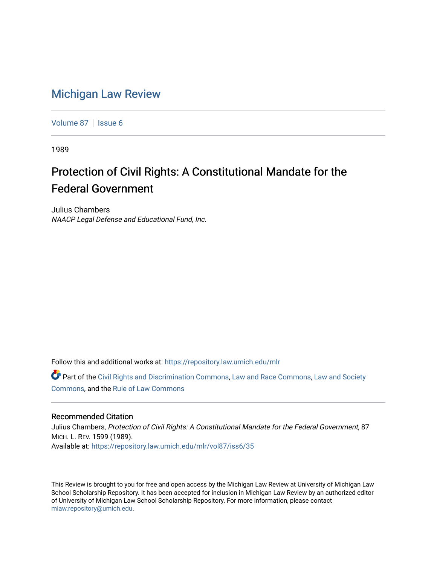## [Michigan Law Review](https://repository.law.umich.edu/mlr)

[Volume 87](https://repository.law.umich.edu/mlr/vol87) | [Issue 6](https://repository.law.umich.edu/mlr/vol87/iss6)

1989

# Protection of Civil Rights: A Constitutional Mandate for the Federal Government

Julius Chambers NAACP Legal Defense and Educational Fund, Inc.

Follow this and additional works at: [https://repository.law.umich.edu/mlr](https://repository.law.umich.edu/mlr?utm_source=repository.law.umich.edu%2Fmlr%2Fvol87%2Fiss6%2F35&utm_medium=PDF&utm_campaign=PDFCoverPages) 

Part of the [Civil Rights and Discrimination Commons,](http://network.bepress.com/hgg/discipline/585?utm_source=repository.law.umich.edu%2Fmlr%2Fvol87%2Fiss6%2F35&utm_medium=PDF&utm_campaign=PDFCoverPages) [Law and Race Commons,](http://network.bepress.com/hgg/discipline/1300?utm_source=repository.law.umich.edu%2Fmlr%2Fvol87%2Fiss6%2F35&utm_medium=PDF&utm_campaign=PDFCoverPages) [Law and Society](http://network.bepress.com/hgg/discipline/853?utm_source=repository.law.umich.edu%2Fmlr%2Fvol87%2Fiss6%2F35&utm_medium=PDF&utm_campaign=PDFCoverPages)  [Commons](http://network.bepress.com/hgg/discipline/853?utm_source=repository.law.umich.edu%2Fmlr%2Fvol87%2Fiss6%2F35&utm_medium=PDF&utm_campaign=PDFCoverPages), and the [Rule of Law Commons](http://network.bepress.com/hgg/discipline/1122?utm_source=repository.law.umich.edu%2Fmlr%2Fvol87%2Fiss6%2F35&utm_medium=PDF&utm_campaign=PDFCoverPages) 

### Recommended Citation

Julius Chambers, Protection of Civil Rights: A Constitutional Mandate for the Federal Government, 87 MICH. L. REV. 1599 (1989). Available at: [https://repository.law.umich.edu/mlr/vol87/iss6/35](https://repository.law.umich.edu/mlr/vol87/iss6/35?utm_source=repository.law.umich.edu%2Fmlr%2Fvol87%2Fiss6%2F35&utm_medium=PDF&utm_campaign=PDFCoverPages) 

This Review is brought to you for free and open access by the Michigan Law Review at University of Michigan Law School Scholarship Repository. It has been accepted for inclusion in Michigan Law Review by an authorized editor of University of Michigan Law School Scholarship Repository. For more information, please contact [mlaw.repository@umich.edu.](mailto:mlaw.repository@umich.edu)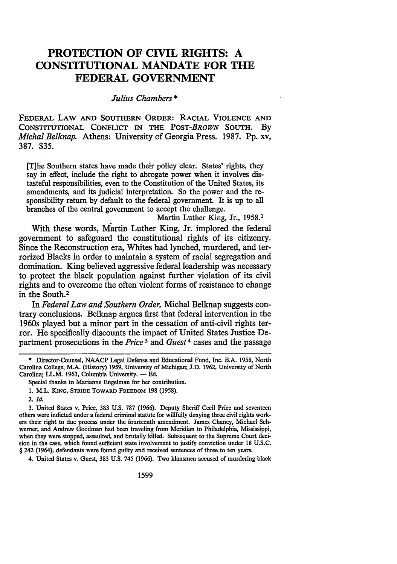### **PROTECTION OF CIVIL RIGHTS: A CONSTITUTIONAL MANDATE FOR THE FEDERAL GOVERNMENT**

### *Julius Chambers\**

FEDERAL LAW AND SOUTHERN ORDER: RACIAL VIOLENCE AND CONSTITUTIONAL CONFLICT IN THE *POST-BROWN* SOUTH. By *Michal Belknap.* Athens: University of Georgia Press. 1987. Pp. xv, 387. \$35.

[T]he Southern states have made their policy clear. States' rights, they say in effect, include the right to abrogate power when it involves distasteful responsibilities, even to the Constitution of the United States, its amendments, and its judicial interpretation. So the power and the responsibility return by default to the federal government. It is up to all branches of the central government to accept the challenge.

Martin Luther King, Jr., 1958.<sup>1</sup>

With these words, Martin Luther King, Jr. implored the federal government to safeguard the constitutional rights of its citizenry. Since the Reconstruction era, Whites had lynched, murdered, and terrorized Blacks in order to maintain a system of racial segregation and domination. King believed aggressive federal leadership was necessary to protect the black population against further violation of its civil rights and to overcome the often violent forms of resistance to change in the South.2

In *Federal Law and Southern Order,* Michal Belknap suggests contrary conclusions. Belknap argues first that federal intervention in the 1960s played but a minor part in the cessation of anti-civil rights terror. He specifically discounts the impact of United States Justice Department prosecutions in the *Price*<sup>3</sup> and *Guest*<sup>4</sup> cases and the passage

4. United States v. Guest, 383 U.S. 745 (1966). Two klansmen accused of murdering black

<sup>\*</sup> Director-Counsel, NAACP Legal Defense and Educational Fund, Inc. B.A. 1958, North Carolina College; M.A. (History) 1959, University of Michigan; J.D. 1962, University of North Carolina; LL.M. 1963, Columbia University. - Ed.

Special thanks to Marianne Engelman for her contribution.

<sup>1.</sup> M.L. KING, STRIDE TOWARD FREEDOM 198 (1958).

<sup>2.</sup> *Id.* 

<sup>3.</sup> United States v. Price, 383 U.S. 787 (1966). Deputy Sheriff Cecil Price and seventeen others were indicted under a federal criminal statute for willfully denying three civil rights workers their right to due process under the fourteenth amendment. James Chaney, Michael Schwerner, and Andrew Goodman had been traveling from Meridian to Philadelphia, Mississippi, when they were stopped, assaulted, and brutally killed. Subsequent to the Supreme Court decision in the case, which found sufficient state involvement to justify conviction under 18 U.S.C. § 242 (1964), defendants were found guilty and received sentences of three to ten years.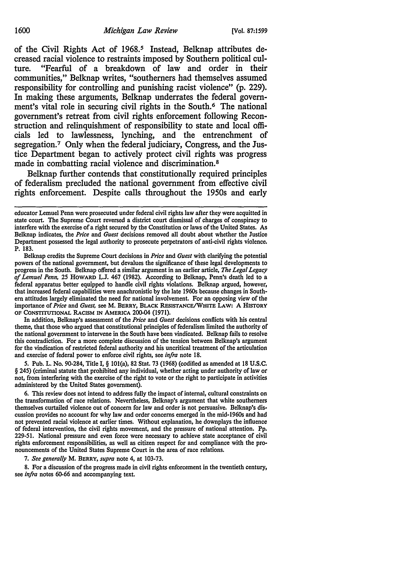of the Civil Rights Act of 1968.<sup>5</sup> Instead, Belknap attributes decreased racial violence to restraints imposed by Southern political culture. "Fearful of a breakdown of law and order in their communities," Belknap writes, "southerners had themselves assumed responsibility for controlling and punishing racist violence" (p. 229). In making these arguments, Belknap underrates the federal government's vital role in securing civil rights in the South.<sup>6</sup> The national government's retreat from civil rights enforcement following Reconstruction and relinquishment of responsibility to state and local officials led to lawlessness, lynching, and the entrenchment of segregation.7 Only when the federal judiciary, Congress, and the Justice Department began to actively protect civil rights was progress made in combatting racial violence and discrimination.<sup>8</sup>

Belknap further contends that constitutionally required principles of federalism precluded the national government from effective civil rights enforcement. Despite calls throughout the 1950s and early

Belknap credits the Supreme Court decisions in *Price* and *Guest* with clarifying the potential powers of the national government, but devalues the significance of these legal developments to progress in the South. Belknap offered a similar argument in an earlier article, *The Legal Legacy of Lemuel Penn, 25* HOWARD L.J. 467 (1982). According to Belknap, Penn's death led to a federal apparatus better equipped to handle civil rights violations. Belknap argued, however, that increased federal capabilities were anachronistic by the late 1960s because changes in South· em attitudes largely eliminated the need for national involvement. For an opposing view of the importance of *Price* and *Guest,* see M. BERRY, BLACK REsISTANCE/WHITE LAW: A HISTORY OF CONSTITUTIONAL RACISM IN AMERICA 200-04 (1971).

In addition, Belknap's assessment of the *Price* and *Guest* decisions conflicts with his central theme, that those who argued that constitutional principles of federalism limited the authority of the national government to intervene in the South have been vindicated. Belknap fails to resolve this contradiction. For a more complete discussion of the tension between Belknap's argument for the vindication of restricted federal authority and his uncritical treatment of the articulation and exercise of federal power to enforce civil rights, see *infra* note 18.

*5.* Pub. L. No. 90-284, Title I, § lOl(a), 82 Stat. 73 (1968) (codified as amended at 18 U.S.C. § 245) (criminal statute that prohibited any individual, whether acting under authority of law or not, from interfering with the exercise of the right to vote or the right to participate in activities administered by the United States government).

6. This review does not intend to address fully the impact of internal, cultural constraints on the transformation of race relations. Nevertheless, Belknap's argument that white southerners themselves curtailed violence out of concern for law and order is not persuasive. Belknap's dis· cussion provides no account for why law and order concerns emerged in the mid-1960s and had not prevented racial violence at earlier times. Without explanation, he downplays the influence of federal intervention, the civil rights movement, and the pressure of national attention. Pp. 229-51. National pressure and even force were necessary to achieve state acceptance of civil rights enforcement responsibilities, as well as citizen respect for and compliance with the pronouncements of the United States Supreme Court in the area of race relations.

7. *See generally* M. BERRY, *supra* note 4, at 103-73.

8. For a discussion of the progress made in civil rights enforcement in the twentieth century, see *infra* notes 60-66 and accompanying text.

educator Lemuel Penn were prosecuted under federal civil rights law after they were acquitted in state court. The Supreme Court reversed a district court dismissal of charges of conspiracy to interfere with the exercise of a right secured by the Constitution or laws of the United States. As Belknap indicates, the *Price* and *Guest* decisions removed all doubt about whether the Justice Department possessed the legal authority to prosecute perpetrators of anti·civil rights violence. P. 183.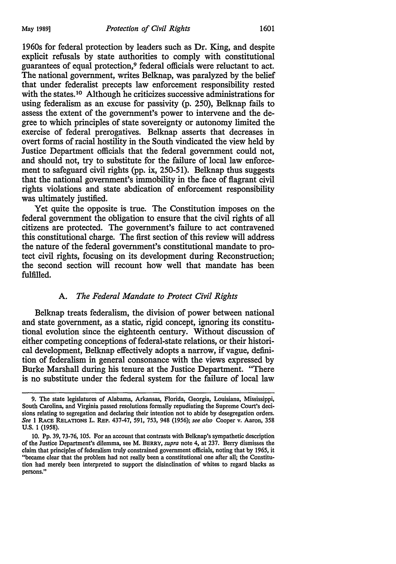1960s for federal protection by leaders such as Dr. King, and despite explicit refusals by state authorities to comply with constitutional guarantees of equal protection,9 federal officials were reluctant to act. The national government, writes Belknap, was paralyzed by the belief that under federalist precepts law enforcement responsibility rested with the states.<sup>10</sup> Although he criticizes successive administrations for using federalism as an excuse for passivity (p. 250), Belknap fails to assess the extent of the government's power to intervene and the degree to which principles of state sovereignty or autonomy limited the exercise of federal prerogatives. Belknap asserts that decreases in overt forms of racial hostility in the South vindicated the view held by Justice Department officials that the federal government could not, and should not, try to substitute for the failure of local law enforcement to safeguard civil rights (pp. ix, 250-51). Belknap thus suggests that the national government's immobility in the face of flagrant civil rights violations and state abdication of enforcement responsibility was ultimately justified.

Yet quite the opposite is true. The Constitution imposes on the federal government the obligation to ensure that the civil rights of all citizens are protected. The government's failure to act contravened this constitutional charge. The first section of this review will address the nature of the federal government's constitutional mandate to protect civil rights, focusing on its development during Reconstruction; the second section will recount how well that mandate has been fulfilled.

#### A. *The Federal Mandate to Protect Civil Rights*

Belknap treats federalism, the division of power between national and state government, as a static, rigid concept, ignoring its constitutional evolution since the eighteenth century. Without discussion of either competing conceptions of federal-state relations, or their historical development, Belknap effectively adopts a narrow, if vague, definition of federalism in general consonance with the views expressed by Burke Marshall during his tenure at the Justice Department. "There is no substitute under the federal system for the failure of local law

<sup>9.</sup> The state legislatures of Alabama, Arkansas, Florida, Georgia, Louisiana, Mississippi, South Carolina, and Virginia passed resolutions formally repudiating the Supreme Court's decisions relating to segregation and declaring their intention not to abide by desegregation orders. *See* 1 RACE RELATIONS L. REP. 437-47, 591, 753, 948 (1956); *see also* Cooper v. Aaron, 358 U.S. 1 (1958).

<sup>10.</sup> Pp. 39, 73-76, 105. For an account that contrasts with Belknap's sympathetic description of the Justice Department's dilemma, see M. BERRY, *supra* note 4, at 237. Berry dismisses the claim that principles of federalism truly constrained government officials, noting that by 1965, it "became clear that the problem had not really been a constitutional one after all; the Constitution had merely been interpreted to support the disinclination of whites to regard blacks as persons."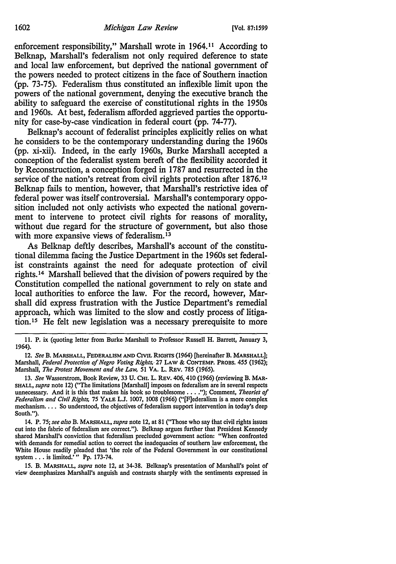enforcement responsibility," Marshall wrote in  $1964$ .<sup>11</sup> According to Belknap, Marshall's federalism not only required deference to state and local law enforcement, but deprived the national government of the powers needed to protect citizens in the face of Southern inaction (pp. 73-75). Federalism thus constituted an inflexible limit upon the powers of the national government, denying the executive branch the ability to safeguard the exercise of constitutional rights in the 1950s and 1960s. At best, federalism afforded aggrieved parties the opportunity for case-by-case vindication in federal court (pp. 74-77).

Belknap's account of federalist principles explicitly relies on what he considers to be the contemporary understanding during the 1960s (pp. xi-xii). Indeed, in the early 1960s, Burke Marshall accepted a conception of the federalist system bereft of the flexibility accorded it by Reconstruction, a conception forged in 1787 and resurrected in the service of the nation's retreat from civil rights protection after 1876.<sup>12</sup> Belknap fails to mention, however, that Marshall's restrictive idea of federal power was itself controversial. Marshall's contemporary opposition included not only activists who expected the national government to intervene to protect civil rights for reasons of morality, without due regard for the structure of government, but also those with more expansive views of federalism.<sup>13</sup>

As Belknap deftly describes, Marshall's account of the constitutional dilemma facing the Justice Department in the 1960s set federalist constraints against the need for adequate protection of civil rights. 14 Marshall believed that the division of powers required by the · Constitution compelled the national government to rely on state and local authorities to enforce the law. For the record, however, Marshall did express frustration with the Justice Department's remedial approach, which was limited to the slow and costly process of litigation.15 He felt new legislation was a necessary prerequisite to more

<sup>11.</sup> P. ix (quoting letter from Burke Marshall to Professor Russell H. Barrett, January 3, 1964).

<sup>12.</sup> *See* B. MARSHALL, FEDERALISM AND CIVIL RIGHTS (1964) [hereinafter B. MARSHALL]; Marshall, *Federal Protection of Negro Voting Rights,.* 27 LAW & CONTEMP. PRODS. 455 (1962); Marshall, *The Protest Movement and the Law,* SI VA. L. REv. 785 (1965).

<sup>13.</sup> *See* Wasserstrom, Book Review, 33 U. CHI. L. REV. 406, 410 (1966) (reviewing B. MAR-SHALL, *supra* note 12) ("The limitations [Marshall) imposes on federalism are in several respects unnecessary. And it is this that makes his book so troublesome ...• "); Comment, *Theories of Federalism and Civil Rights,* 75 YALE L.J. 1007, 1008 (1966) ("[F)ederalism is a more complex mechanism. . . . So understood, the objectives of federalism support intervention in today's deep South.").

<sup>14.</sup> P. 75; *see also* B. MARSHALL, *supra* note 12, at 81 ("Those who say that civil rights issues cut into the fabric of federalism are correct."). Belknap argues further that President Kennedy shared Marshall's conviction that federalism precluded government action: "When confronted with demands for remedial action to correct the inadequacies of southern law enforcement, the White House readily pleaded that 'the role of the Federal Government 'in our constitutional system . . . is limited.'" Pp. 173-74.

<sup>15.</sup> B. MARSHALL, *supra* note 12, at 34-38. Belknap's presentation of Marshall's point of view deemphasizes Marshall's anguish and contrasts sharply with the sentiments expressed in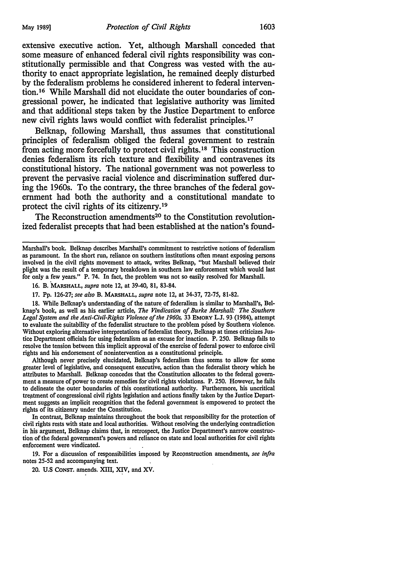extensive executive action. Yet, although Marshall conceded that some measure of enhanced federal civil rights responsibility was constitutionally permissible and that Congress was vested with the authority to enact appropriate legislation, he remained deeply disturbed by the federalism problems he considered inherent to federal intervention.16 While Marshall did not elucidate the outer boundaries of congressional power, he indicated that legislative authority was limited and that additional steps taken by the Justice Department to enforce new civil rights laws would conflict with federalist principles. <sup>17</sup>

Belknap, following Marshall, thus assumes that constitutional principles of federalism obliged the federal government to restrain from acting more forcefully to protect civil rights. 18 This construction denies federalism its rich texture and flexibility and contravenes its constitutional history. The national government was not powerless to prevent the pervasive racial violence and discrimination suffered during the 1960s. To the contrary, the three branches of the federal government had both the authority and a constitutional mandate to protect the civil rights of its citizenry.19

The Reconstruction amendments<sup>20</sup> to the Constitution revolutionized federalist precepts that had been established at the nation's found-

16. B. MARSHALL, *supra* note 12, at 39-40, 81, 83-84.

17. Pp. 126-27; *see also* B. MARSHALL, *supra* note 12, at 34-37, 72-75, 81-82.

18. While Belknap's understanding of the nature of federalism is similar to Marshall's, Belknap's book, as well as his earlier article, *The Vindication of Burke Marshall: The Southern Legal System and the Anti-Civil-Rights Violence of the 1960s,* 33 EMORY L.J. 93 (1984), attempt to evaluate the suitapility of the federalist structure to the problem posed by Southern violence. Without exploring alternative interpretations of federalist theory, Belknap at times criticizes Justice Department officials for using federalism as an excuse for inaction. P. 250. Belknap fails to resolve the tension between this implicit approval of the exercise of federal power to enforce civil rights and his endorsement of nonintervention as a constitutional principle.

Although never precisely elucidated, Belknap's federalism thus seems to allow for some greater level of legislative, and consequent executive, action than the federalist theory which he attributes to Marshall. Belknap concedes that the Constitution allocates to the federal government a measure of power to create remedies for civil rights violations. P. 250. However, he fails to delineate the outer boundaries of this constitutional authority. Furthermore, his uncritical treatment of congressional civil rights legislation and actions finally taken by the Justice Department suggests an implicit recognition that the federal government is empowered to protect the rights of its citizenry under the Constitution.

In contrast, Belknap maintains throughout the book that responsibility for the protection of civil rights rests with state and local authorities. Without resolving the underlying contradiction in bis argument, Belknap claims that, in retrospect, the Justice Department's narrow construction of the federal government's powers and reliance on state and local authorities for civil rights enforcement were vindicated.

19. For a discussion of responsibilities imposed by Reconstruction amendments, see infra notes 25-52 and accompanying text.

20. U.S CONST. amends. XIII, XIV, and XV.

Marshall's book. Belknap describes Marshall's commitment to restrictive notions of federalism as paramount. In the short run, reliance on southern institutions often meant exposing persons involved jn the civil rights movement to attack, writes Belknap, "but Marshall believed their plight was the result of a temporary breakdown in southern law enforcement which would last for only a few years." P. 74. In fact, the problem was not so easily resolved for Marshall.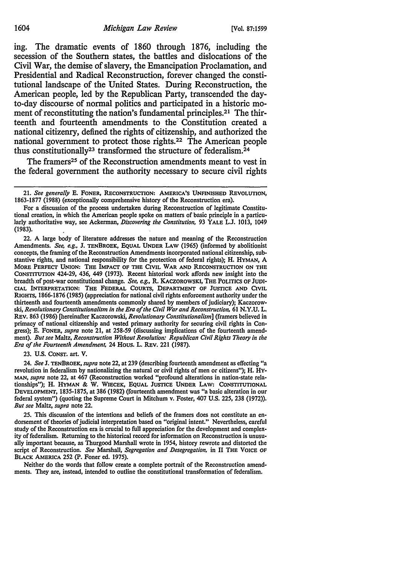ing. The dramatic events of 1860 through 1876, including the secession of the Southern states, the battles and dislocations of the Civil War, the demise of slavery, the Emancipation Proclamation, and Presidential and Radical Reconstruction, forever changed the constitutional landscape of the United States. During Reconstruction, the American people, led by the Republican Party, transcended the dayto-day discourse of normal politics and participated in a historic moment of reconstituting the nation's fundamental principles.<sup>21</sup> The thirteenth and fourteenth amendments to the Constitution created a national citizenry, defined the rights of citizenship, and authorized the national government to protect those rights.22 The American people thus constitutionally<sup>23</sup> transformed the structure of federalism.<sup>24</sup>

The framers<sup>25</sup> of the Reconstruction amendments meant to vest in the federal government the authority necessary to secure civil rights

For a discussion of the process undertaken during Reconstruction of legitimate Constitutional creation, in which the American people spoke on matters of basic principle in a particularly authoritative way, see Ackerman, *Discovering the Constitution,* 93 YALE L.J. 1013, 1049 (1983).

22. A large body of literature addresses the nature and meaning of the Reconstruction Amendments. *See, e.g.,* J. TENBROEK, EQUAL UNDER LAW (1965) (informed by abolitionist concepts, the framing of the Reconstruction Amendments incorporated national citizenship, substantive rights, and national responsibility for the protection of federal rights); H. HYMAN, A MORE PERFECT UNION: THE IMPACT OF THE CIVIL WAR AND RECONSTRUCTION ON THE CoNSTITUTION 424-29, 436, 449 (1973). Recent historical work affords new insight into the breadth of post-war constitutional change. *See, e.g.,* R. KACZOROWSKI, THE POLITICS OF JUDI· CIAL INTERPRETATION: THE FEDERAL COURTS, DEPARTMENT OF JUSTICE AND CIVIL RIGHTS, 1866-1876 (1985) (appreciation for national civil rights enforcement authority under the thirteenth and fourteenth amendments commonly shared by members of judiciary); Kaczorowski, *Revolutionary Constitutionalism in the Era of the Civil War and Reconstruction,* 61 N.Y.U. L, REV. 863 (1986) [hereinafter Kaczorowski, *Revolutionary Constitutionalism]* (framers believed in primacy of national citizenship and vested primary authority for securing civil rights in Congress); E. FONER, *supra* note 21, at 258-59 (discussing implications of the fourteenth amend· ment). *But see* Maltz, *Reconstruction Without Revolution: Republican Civil Rights Theory in the Era of the Founeenth Amendment,* 24 Hous. L. REV. 221 (1987).

23. U.S. CONST. art. V.

24. *See* J. TENBROEK, *supra* note 22, at 239 (describing fourteenth amendment as effecting "a revolution in federalism by nationalizing the natural or civil rights of *men* or citizens"); H. HY-MAN, *supra note* 22, at 467 (Reconstruction worked "profound alterations in nation-state relationships"); H. HYMAN & W. WIECEK, EQUAL JUSTICE UNDER LAW: CONSTITUTIONAL DEVELOPMENT, 1835-1875, at 386 (1982) (fourteenth amendment was "a basic alteration in our federal system") (quoting the Supreme Court in Mitchum v. *Foster,* 407 U.S. 225, 238 (1972)). *But see* Maltz, *supra* note 22.

25. This discussion of the intentions and beliefs of the framers does not constitute an endorsement of theories of judicial interpretation based on "original intent." Nevertheless, careful study of the Reconstruction era is crucial to full appreciation for the development and complexity of federalism. Returning to the historical record for information on Reconstruction is unusually important because, as Thurgood Marshall wrote in 1954, history *rewrote* and distorted the script of Reconstruction. See Marshall, Segregation and Desegregation, in II THE VOICE OF BLACK AMERICA 252 (P. Foner ed. 1975).

Neither do the words that follow create a complete portrait of the Reconstruction amendments. They are, instead, intended to outline the constitutional transformation of federalism.

<sup>21.</sup> *See generally* E. FONER, RECONSTRUCTION: AMERICA'S UNFINISHED REVOLUTION, 1863-1877 (1988) (exceptionally comprehensive history of the Reconstruction era).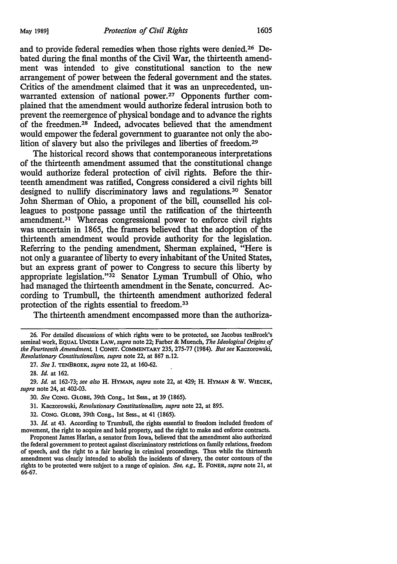and to provide federal remedies when those rights were denied. 26 Debated during the final months of the Civil War, the thirteenth amendment was intended to give constitutional sanction to the new arrangement of power between the federal government and the states. Critics of the amendment claimed that it was an unprecedented, unwarranted extension of national power.<sup>27</sup> Opponents further complained that the amendment would authorize federal intrusion both to prevent the reemergence of physical bondage and to advance the rights of the freedmen.<sup>28</sup> Indeed, advocates believed that the amendment would empower the federal government to guarantee not only the abolition of slavery but also the privileges and liberties of freedom. 29

The historical record shows that contemporaneous interpretations of the thirteenth amendment assumed that the constitutional change would authorize federal protection of civil rights. Before the thirteenth amendment was ratified, Congress considered a civil rights bill designed to nullify discriminatory laws and regulations.<sup>30</sup> Senator John Sherman of Ohio, a proponent of the bill, counselled his colleagues to postpone passage until the ratification of the thirteenth amendment.<sup>31</sup> Whereas congressional power to enforce civil rights was uncertain in 1865, the framers believed that the adoption of the thirteenth amendment would provide authority for the legislation. Referring to the pending amendment, Sherman explained, "Here is not only a guarantee of liberty to every inhabitant of the United States, but an express grant of power to Congress to secure this liberty by appropriate legislation."32 Senator Lyman Trumbull of Ohio, who had managed the thirteenth amendment in the Senate, concurred. According to Trumbull, the thirteenth amendment authorized federal protection of the rights essential to freedom.<sup>33</sup>

The thirteenth amendment encompassed more than the authoriza-

- 31. Kaczorowski, *Revolutionary Constitutionalism,. supra* note 22, at 895.
- 32. CONG. GLOBE, 39th Cong., 1st Sess., at 41 (1865).

33. *Id.* at 43. According to Trumbull, the rights essential to freedom included freedom of movement, the right to acquire and hold property, and the right to make and enforce contracts.

<sup>26.</sup> For detailed discussions of which rights were to be protected, see Jacobus tenBroek's seminal work, EQUAL UNDER LAW, *supra* note 22; Farber & Muench, *The Ideological Origins of the Fourteenth Amendment,* 1 CONST. COMMENTARY 235, 275-77 (1984). *But see* Kaczorowski, *Revolutionary Constitutionalism, supra* note 22, at 867 n.12.

<sup>27.</sup> *See* J. TENBROEK, *supra* note 22, at 160-62.

<sup>28.</sup> *Id.* at 162.

<sup>29.</sup> *Id.* at 162-73; *see also* H. HYMAN, *supra* note 22, at 429; H. HYMAN & w. WIECEK, *supra* note 24, at 402-03.

<sup>30.</sup> *See* CONG. GLOBE, 39th Cong., 1st Sess., at 39 (1865).

Proponent James Harlan, a senator from Iowa, believed that the amendment also authorized the federal government to protect against discriminatory restrictions on family relations, freedom of speech, and the right to a fair hearing in criminal proceedings. Thus while the thirteenth amendment was clearly intended to abolish the incidents of slavery, the outer contours of the rights to be protected were subject to a range of opinion. *See, e.g.,* E. FONER, *supra* note 21, at 66-67.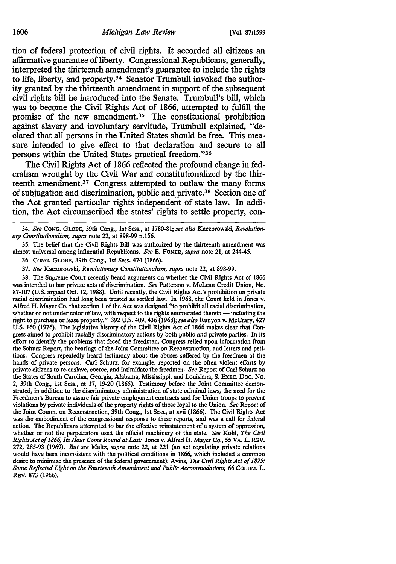tion of federal protection of civil rights. It accorded all citizens an affirmative guarantee of liberty. Congressional Republicans, generally, interpreted the thirteenth amendment's guarantee to include the rights to life, liberty, and property.34 Senator Trumbull invoked the authority granted by the thirteenth amendment in support of the subsequent civil rights bill he introduced into the Senate. Trumbull's bill, which was to become the Civil Rights Act of 1866, attempted to fulfill the promise of the new amendment.<sup>35</sup> The constitutional prohibition against slavery and involuntary servitude, Trumbull explained, "declared that all persons in the United States should be free. This measure intended to give effect to that declaration and secure to all persons within the United States practical freedom."36

The Civil Rights Act of 1866 reflected the profound change in federalism wrought by the Civil War and constitutionalized by the thirteenth amendment. 37 Congress attempted to outlaw the many forms of subjugation and discrimination, public and private. 38 Section one of the Act granted particular rights independent of state law. In addition, the Act circumscribed the states' rights to settle property, con-

34. *See* CONG. GLOBE, 39th Cong., 1st Sess., at 1780-81; *see also* Kaczorowski, *Revolutionary Constitutionalism, supra* note 22, at 898-99 n.1S6.

3S. The belief that the Civil Rights Bill was authorized by the thirteenth amendment was almost universal among influential Republicans. *See* E. FONER, *supra* note 21, at 244-4S.

36. CONG. GLOBE, 39th Cong., 1st Sess. 474 (1866).

37. *See* Kaczorowski, *Revolutionary Constitutionalism, supra* note 22, at 898-99.

38. The Supreme Court recently heard arguments on whether the Civil Rights Act of 1866 was intended to bar private acts of discrimination. *See* Patterson v. McLean Credit Union, No. 87-107 (U.S. argued Oct. 12, 1988). Until recently, the Civil Rights Act's prohibition on private racial discrimination had long been treated as settled law. In 1968, the Court held in Jones v. Alfred H. Mayer Co. that section 1 of the Act was designed "to prohibit all racial discrimination, whether or not under color of law, with respect to the rights enumerated therein - including the right to purchase or lease property." 392 U.S. 409, 436 (1968); *see also* Runyon v. McCrary, 427 U.S. 160 (1976). The legislative history of the Civil Rights Act of 1866 makes clear that Congress aimed to prohibit racially discriminatory actions by both public and private parties. In its effort to identify the problems that faced the freedman, Congress relied upon information from the Schurz Report, the hearings of the Joint Committee on Reconstruction, and letters and peti· tions. Congress repeatedly heard testimony about the abuses suffered by the freedmen at the hands of private persons. Carl Schurz, for example, reported on the often violent efforts by private citizens to re-enslave, coerce, and intimidate the freedmen. *See* Report of Carl Schurz on the States of South Carolina, Georgia, Alabama, Mississippi, and Louisiana, S. EXEC. Doc. No. 2, 39th Cong., 1st Sess., at 17, 19-20 (186S). Testimony before the Joint Committee demonstrated, in addition to the discriminatory administration of state criminal laws, the need for the Freedmen's Bureau to assure fair private employment contracts and for Union troops to prevent violations by private individuals of the property rights of those loyal to the Union. *See* Report of the Joint Comm. on Reconstruction, 39th Cong., 1st Sess., at xvii (1866). The Civil Rights Act was the embodiment of the congressional response to these reports, and was a call for federal action. The Republicans attempted to bar the effective reinstatement of a system of oppression, whether or not the perpetrators used the official machinery of the state. *See* Kohl, *The Civil Rights Act of 1866. Its Hour Come Round at Last:* Jones v. Alfred H. Mayer Co., SS VA. L. REV. 272, 28S-93 (1969). *But see* Maltz, *supra* note 22, at 221 (an act regulating private relations would have been inconsistent with the political conditions in 1866, which included a common desire to minimize the presence of the federal government); Avins, *The Civil Rights Act of 1875: Some Reflected Light on the Fourteenth Amendment and Public Accommodations,* 66 COLUM. L. REV. 873 (1966).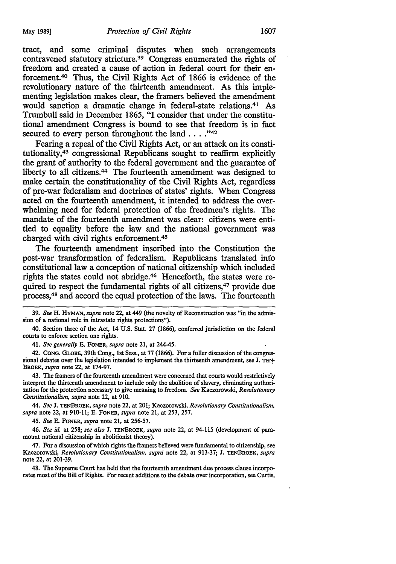tract, and some criminal disputes when such arrangements contravened statutory stricture.<sup>39</sup> Congress enumerated the rights of freedom and created a cause of action in federal court for their enforcement. 40 Thus, the Civil Rights Act of 1866 is evidence of the revolutionary nature of the thirteenth amendment. As this implementing legislation makes clear, the framers believed the amendment would sanction a dramatic change in federal-state relations.41 As Trumbull said in December 1865, "I consider that under the constitutional amendment Congress is bound to see that freedom is in fact secured to every person throughout the land  $\dots$ ."<sup>42</sup>

Fearing a repeal of the Civil Rights Act, or an attack on its constitutionality, 43 congressional Republicans sought to reaffirm explicitly the grant of authority to the federal government and the guarantee of liberty to all citizens.44 The fourteenth amendment was designed to make certain the constitutionality of the Civil Rights Act, regardless of pre-war federalism and doctrines of states' rights. When Congress acted on the fourteenth amendment, it intended to address the overwhelming need for federal protection of the freedmen's rights. The mandate of the fourteenth amendment was clear: citizens were entitled to equality before the law and the national government was charged with civil rights enforcement. 45

The fourteenth amendment inscribed into the Constitution the post-war transformation of federalism. Republicans translated info constitutional law a conception of national citizenship which included rights the states could not abridge.46 Henceforth, the states were required to respect the fundamental rights of all citizens,<sup>47</sup> provide due process,48 and accord the equal protection of the laws. The fourteenth

41. *See generally* E. FONER, *supra* note 21, at 244-45.

42. CONG. GLOBE, 39th Cong., 1st Sess., at 77 (1866). For a fuller discussion of the congressional debates over the legislation intended to implement the thirteenth amendment, see J. TEN-BROEK, *supra* note 22, at 174-97.

43. The framers of the fourteenth amendment were concerned that courts would restrictively interpret the thirteenth amendment to include only the abolition of slavery, eliminating authorization for the protection necessary to give meaning to freedom. *See* Kaczorowski, *Revolutionary Constitutionalism, supra* note 22, at 910.

44. *See* J. TENBROEK, *supra* note 22, at 201; Kaczorowski, *Revolutionary Constitutionalism, supra* note 22, at 910-11; E. FONER, *supra* note 21, at 253, 257.

45. *See* E. FoNER, *supra* note 21, at 256-57.

46. *See id.* at 258; *see also* J. TENBROEK, *supra* note 22, at 94-115 (development of paramount national citizenship in abolitionist theory).

47. For a discussion of which rights the framers believed were fundamental to citizenship, see Kaczorowski, *Revolutionary Constitutionalism, supra* note 22, at 913-37; J. TENBROEK, *supra*  note 22, at 201-39.

48. The Supreme Court has held that the fourteenth amendment due process clause incorporates most of the Bill of Rights. For recent additions to the debate over incorporation, see Curtis,

<sup>39.</sup> *See* H. HYMAN, *supra* note 22, at 449 (the novelty of Reconstruction was "in the admission of a national role in intrastate rights protections").

<sup>40.</sup> Section three of the Act, 14 U.S. Stat. 27 (1866), conferred jurisdiction on the federal courts to enforce section one rights.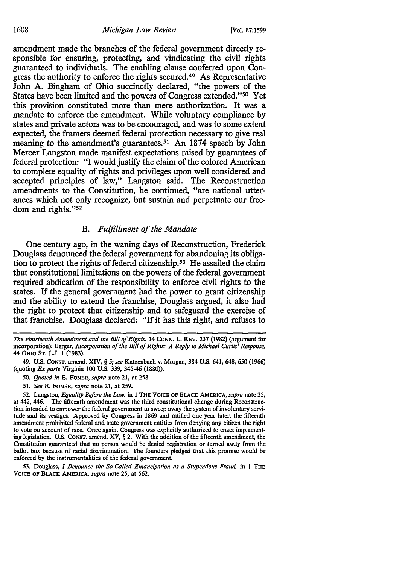amendment made the branches of the federal government directly responsible for ensuring, protecting, and vindicating the civil rights guaranteed to individuals. The enabling clause conferred upon Congress the authority to enforce the rights secured.49 As Representative John A. Bingham of Ohio succinctly declared, "the powers of the States have been limited and the powers of Congress extended."50 Yet this provision constituted more than mere authorization. It was a mandate to enforce the amendment. While voluntary compliance by states and private actors was to be encouraged, and was to some extent expected, the framers deemed federal protection necessary to give real meaning to the amendment's guarantees.<sup>51</sup> An 1874 speech by John Mercer Langston made manifest expectations raised by guarantees of federal protection: "I would justify the claim of the colored American to complete equality of rights and privileges upon well considered and accepted principles of law," Langston said. The Reconstruction amendments to the Constitution, he continued, "are national utterances which not only recognize, but sustain and perpetuate our freedom and rights."52

### B. *Fulfillment of the Mandate*

One century ago, in the waning days of Reconstruction, Frederick Douglass denounced the federal government for abandoning its obligation to protect the rights of federal citizenship. 53 He assailed the claim that constitutional limitations on the powers of the federal government required abdication of the responsibility to enforce civil rights to the states. If the general government had the power to grant citizenship and the ability to extend the franchise, Douglass argued, it also had the right to protect that citizenship and to safeguard the exercise of that franchise. Douglass declared: "If it has this right, and refuses to

- 50. *Quoted in* E. FONER, *supra* note 21, at 258.
- 51. *See* E. FONER, *supra* note 21, at 259.

53. Douglass, *I Denounce the So-Called Emancipation as a Stupendous Fraud,* in 1 THE VOICE OF BLACK AMERICA, *supra* note 25, at 562.

*The Fourteenth Amendment and the Bill of Rights,* 14 CONN. L. REv. 237 (1982) (argument for incorporation); Berger, *Incorporation of the Bill of Rights: A Reply to Michael Curtis' Response,*  44 OHIO ST. L.J. 1 (1983).

<sup>49.</sup> U.S. CONST. amend. XIV, § 5; *see* Katzenbach v. Morgan, 384 U.S. 641, 648, 650 (1966) (quoting *Ex parte* Virginia 100 U.S. 339, 345-46 (1880)).

<sup>52.</sup> Langston, *Equality Before the Law,* in 1 THE VOICE OF BLACK AMERICA, *supra* note 25, at 442, 446. The fifteenth amendment was the third constitutional change during Reconstruc· tion intended to empower the federal government to sweep away the system of involuntary servi· tude and its vestiges. Approved by Congress in 1869 and ratified one year later, the fifteenth amendment prohibited federal and state government entities from denying any citizen the right to vote on account of race. Once again, Congress was explicitly authorized to enact implementing legislation. U.S. CONST. amend. XV, § 2. With the addition of the fifteenth amendment, the Constitution guaranteed that no person would be denied registration or turned away from the ballot box because of racial discrimination. The founders pledged that this promise would be enforced by the instrumentalities of the federal government.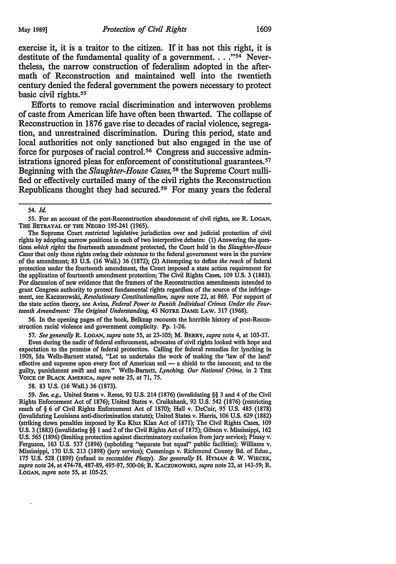exercise it, it is a traitor to the citizen. If it has not this right, it is destitute of the fundamental quality of a government.  $\ldots$ <sup>354</sup> Nevertheless, the narrow construction of federalism adopted in the aftermath of Reconstruction and maintained well into the twentieth century denied the federal government the powers necessary to protect basic civil rights. 55

Efforts to remove racial discrimination and interwoven problems of caste from American life have often been thwarted. The collapse of Reconstruction in 1876 gave rise to decades of racial violence, segregation, and unrestrained discrimination. During this period, state and local authorities not only sanctioned but also engaged in the use of force for purposes of racial control. 56 Congress and successive administrations ignored pleas for enforcement of constitutional guarantees.<sup>57</sup> Beginning with the *Slaughter-House Cases,* 58 the Supreme Court nullified or effectively curtailed many of the civil rights the Reconstruction Republicans thought they had secured.<sup>59</sup> For many years the federal

*SS.* For an account of the post-Reconstruction abandonment of civil rights, see R. LoGAN, THE BETRAYAL OF THE NEGRO 19S-241 (1965).

The Supreme Court restricted legislative jurisdiction over and judicial protection of civil rights by adopting narrow positions in each of two interpretive debates: (1) Answering the questions *which rights* the fourteenth amendment protected, the Court held in the *Slaughter-House Cases* that only those rights owing their existence to the federal government were in the purview of the amendment; 83 U.S. (16 Wall.) 36 (1872); (2) Attempting to define *the reach* of federal protection under the fourteenth amendment, the Court imposed a state action requirement for the application of fourteenth amendment protection; The Civil Rights Cases, 109 U.S. 3 (1883). For discussion of new evidence that the framers of the Reconstruction amendments intended to grant Congress authority to protect fundamental rights regardless of the source of the infringement, see Kaczorowski, *Revolutionary Constitutionalism, supra* note 22, at 869. For support of the state action theory, see Avins, *Federal Power to Punish Individual Crimes Under the Fourteenth Amendment: The Original Understanding,* 43 NOTRE DAME LAW. 317 (1968).

56. In the opening pages of the book, Belknap recounts the horrible history of post-Reconstruction racial violence and government complicity. Pp. 1-26.

57. *See generally* R. LoGAN, *supra* note 55, at 23-105; M. BERRY, *supra* note 4, at 103-37. Even during the nadir of federal enforcement, advocates of civil rights looked with hope and expectation to the promise of federal protection. Calling for federal remedies for lynching in 1909, Ida Wells-Barnett stated, "Let us undertake the work of making the 'law of the land' effective and supreme upon every foot of American soil — a shield to the innocent; and to the guilty, punishment swift and sure." Wells-Barnett, *Lynching, Our National Crime,* in 2 THE VOICE OF BLACK AMERICA, *supra* note 25, at 71, 75.

58. 83 U.S. (16 Wall.) 36 (1873).

*S9. See, e.g.,* United States v. Reese, 92 U.S. 214 (1876) (invalidating§§ 3 and 4 of the Civil Rights Enforcement Act of 1876); United States v. Cruikshank, 92 U.S. 542 (1876) (restricting reach of§ 6 of Civil Rights Enforcement Act of 1870); Hall v. DeCuir, *9S* U.S. 485 (1878) (invalidating Louisiana anti-discrimination statute); United States v. Harris, 106 U.S. 629 (1882) (striking down penalties imposed by Ku Klux Klan Act of 1871); The Civil Rights Cases, 109 U.S. 3 (1883) (invalidating§§ 1and2 of the Civil Rights Act of 1875); Gibson v. Mississippi, 162 U.S. 565 (1896) (limiting protection against discriminatory exclusion from jury service); Plessy v. Ferguson, 163 U.S. 537 (1896) (upholding "separate but equal" public facilities); Williams v. Mississippi, 170 U.S. 213 (1898) (jury service); Cummings v. Richmond County Bd. of Educ., 175 U.S. 528 (1899) (refusal to reconsider *Plessy). See generally* H. HYMAN & W. WIECEK, *supra* note 24, at 474-78, 487-89, 495-97, 500-06; R. KACZOROWSKI, *supra* note 22, at 143-59; R. LoGAN, *supra* note 55, at 105-25.

S4. *Id.*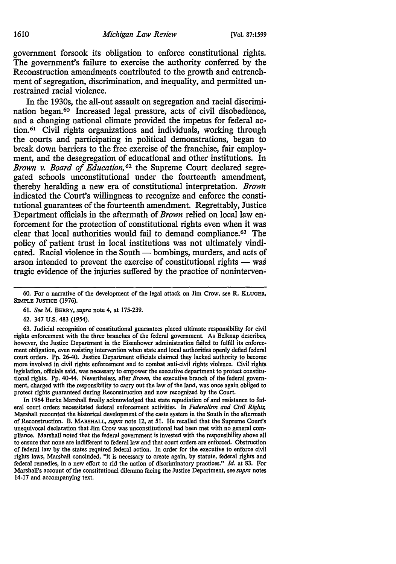government forsook its obligation to enforce constitutional rights. The government's failure to exercise the authority conferred by the Reconstruction amendments contributed to the growth and entrenchment of segregation, discrimination, and inequality, and permitted unrestrained racial violence.

In the 1930s, the all-out assault on segregation and racial discrimination began.<sup>60</sup> Increased legal pressure, acts of civil disobedience, and a changing national climate provided the impetus for federal action. 61 Civil rights organizations and individuals, working through the courts and participating in political demonstrations, began to break down barriers to the free exercise of the franchise, fair employment, and the desegregation of educational and other institutions. In *Brown v. Board of Education,* 62 the Supreme Court declared segregated schools unconstitutional under the fourteenth amendment, thereby heralding a new era of constitutional interpretation. *Brown*  indicated the Court's willingness to recognize and enforce the constitutional guarantees of the fourteenth amendment. Regrettably, Justice Department officials in the aftermath of *Brown* relied on local law enforcement for the protection of constitutional rights even when it was clear that local authorities would fail to demand compliance.<sup>63</sup> The policy of patient trust in local institutions was not ultimately vindicated. Racial violence in the South — bombings, murders, and acts of arson intended to prevent the exercise of constitutional rights - was tragic evidence of the injuries suffered by the practice of noninterven.:

63. Judicial recognition of constitutional guarantees placed ultimate responsibility for civil rights enforcement with the three branches of the federal government. As Belknap describes, however, the Justice Department in the Eisenhower administration failed to fulfill its enforcement obligation, even resisting intervention when state and local authorities openly defied federal court orders. Pp. 26-40. Justice Department officials claimed they lacked authority to become more involved in civil rights enforcement and to combat anti-civil rights violence. Civil rights legislation, officials said, was necessary to empower the executive department to protect constitu· tional rights. Pp. 40-44. Nevertheless, after *Brown,* the executive branch of the federal govern· ment, charged with the responsibility to carry out the law of the land, was once again obliged to protect rights guaranteed during Reconstruction and now recognized by the Court.

In 1964 Burke Marshall finally acknowledged that state repudiation of and resistance to fed· era! court orders necessitated federal enforcement activities. In *Federalism and Civil Rights,*  Marshall recounted the historical development of the caste system in the South in the aftermath of Reconstruction. B. MARSHALL, *supra* note 12, at 51. He recalled that the Supreme Court's unequivocal declaration that Jim Crow was unconstitutional had been met with no general com· pliance. Marshall noted that the federal government is invested with the responsibility above all to ensure that none are indifferent to federal law and that court orders are enforced. Obstruction of federal law by the states required federal action. In order for the executive to enforce civil rights laws, Marshall concluded, "it is necessary to create again, by statute, federal rights and federal remedies, in a new effort to rid the nation of discriminatory practices." *Id.* at 83. For Marshall's account of the constitutional dilemma facing the Justice Department, see *supra* notes 14-17 and accompanying text.

<sup>60.</sup> For a narrative of the development of the legal attack on Jim Crow, see R. KLUGER, SIMPLE JUSTICE (1976).

<sup>61.</sup> *See* M. BERRY, *supra* note 4, at 175-239.

<sup>62. 347</sup> U.S. 483 (1954).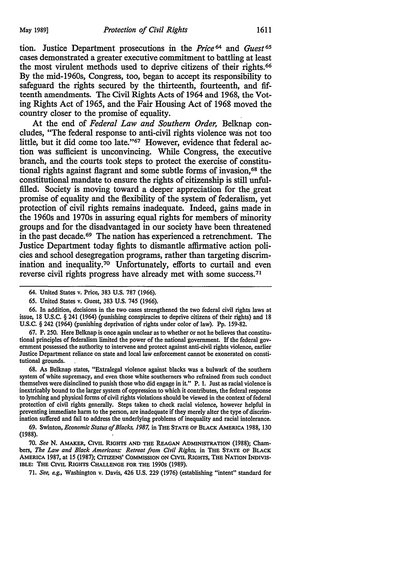tion. Justice Department prosecutions in the *Price* 64 and *Guest* <sup>65</sup> cases demonstrated a greater executive commitment to battling at least the most virulent methods used to deprive citizens of their rights.<sup>66</sup> By the mid-1960s, Congress, too, began to accept its responsibility to safeguard the rights secured by the thirteenth, fourteenth, and fifteenth amendments. The Civil Rights Acts of 1964 and 1968, the Voting Rights Act of 1965, and the Fair Housing Act of 1968 moved the country closer to the promise of equality. .

At the end of *Federal Law and Southern Order,* Belknap concludes, "The federal response to anti-civil rights violence was not too little, but it did come too late."67 However, evidence that federal action was sufficient is unconvincing. While Congress, the executive branch, and the courts took steps to protect the exercise of constitutional rights against flagrant and some subtle forms of invasion, 68 the constitutional mandate to ensure the rights of citizenship is still unfulfilled. Society is moving toward a deeper appreciation for the great promise of equality and the flexibility of the system of federalism, yet protection of civil rights remains inadequate. Indeed, gains made in the 1960s and 1970s in assuring equal rights for members of minority groups and for the disadvantaged in our society have been threatened in the past decade. 69 The nation has experienced a retrenchment. The Justice Department today fights to dismantle affirmative action policies and school desegregation programs, rather than targeting discrimination and inequality.70 Unfortunately, efforts to curtail and even reverse civil rights progress have already met with some success. <sup>71</sup>

66. In addition, decisions in the two cases strengthened the two federal civil rights laws at issue, 18 U.S.C. § 241 (1964) (punishing conspiracies to deprive citizens of their rights) and 18 U.S.C. § 242 (1964) (punishing deprivation of rights under color of law). Pp. 159-82.

67. P. 250. Here Belknap is once again unclear as to whether or not he believes that constitutional principles of federalism limited the power of the national government. If the federal government possessed the authority to intervene and protect against anti-civil rights violence, earlier Justice Department reliance on state and local law enforcement cannot be exonerated on constitutional grounds.

68. As Belknap states, "Extralegal violence against blacks was a bulwark of the southern system of white supremacy, and even those white southerners who refrained from such conduct themselves were disinclined to punish those who did engage in it" P. 1. Just as racial violence is inextricably bound to the larger system of oppression to which it contributes, the federal response to lynching and physical forms of civil rights violations should be viewed in the context of federal protection of civil rights generally. Steps taken to check racial violence, however helpful in preventing immediate harm to the person, are inadequate if they merely alter the type of discrimination suffered and fail to address the underlying problems of inequality and racial intolerance.

69. Swinton, *Economic Status of Blacks, 1987,* in THE STATE OF BLACK AMERICA 1988, 130 (1988).

70. *See* N. AMAKER, CIVIL RIGHTS AND THE REAGAN ADMINISTRATION (1988); Chambers, *The Law and Black Americans: Retreat from Civil Rights,* in THE STATE OF BLACK AMERICA 1987, at 15 (1987); CITizENS' COMMISSION ON CIVIL RIGHTS, THE NATION INDIVIS-IBLE: THE CIVIL RIGHTS CHALLENGE FOR THE 1990s (1989).

71. *See, e.g.,* Washington v. Davis, 426 U.S. 229 (1976) (establishing "intent" standard for

<sup>64.</sup> United States v. Price, 383 U.S. 787 (1966).

<sup>65.</sup> United States v. Guest, 383 U.S. 745 (1966).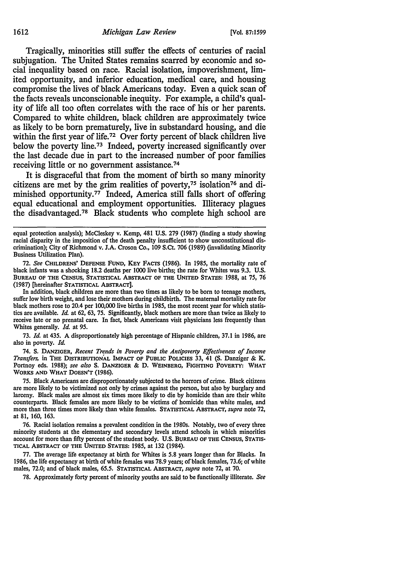Tragically, minorities still suffer the effects of centuries of racial subjugation. The United States remains scarred by economic and social inequality based on race. Racial isolation, impoverishment, limited opportunity, and inferior education, medical care, and housing compromise the lives of black Americans today. Even a quick scan of the facts reveals unconscionable inequity. For example, a child's quality of life all too often correlates with the race of his or her parents. Compared to white children, black children are approximately twice as likely to be born prematurely, live in substandard housing, and die within the first year of life.<sup>72</sup> Over forty percent of black children live below the poverty line.<sup>73</sup> Indeed, poverty increased significantly over the last decade due in part to the increased number of poor families receiving little or no government assistance. 74

It is disgraceful that from the moment of birth so many minority citizens are met by the grim realities of poverty, $75$  isolation $76$  and diminished opportunity.<sup>77</sup> Indeed, America still falls short of offering equal educational and employment opportunities. Illiteracy plagues the disadvantaged. 78 Black students who complete high school are

equal protection analysis); Mccleskey v. Kemp, 481 U.S. 279 (1987) (finding a study showing racial disparity in the imposition of the death penalty insufficient to show unconstitutional discrimination); City of Richmond v. J.A. Croson Co., 109 S.Ct. 706 (1989) (invalidating Minority Business Utilization Plan).

72. *See* CHILDRENS' DEFENSE FUND, KEY FACTS (1986). In 1985, the mortality rate of black infants was a shocking 18.2 deaths per 1000 live births; the rate for Whites was 9.3. U.S. BUREAU OF THE CENSUS, STATISTICAL ABsrRACT OF THE UNITED STATES: 1988, at 75, 76 (1987) [hereinafter STATISTICAL ABsrRACT].

In addition, black children are more than two times as likely to be born to teenage mothers, suffer low birth weight, and lose their mothers during childbirth. The maternal mortality rate for black mothers rose to 20.4 per 100,000 live births in 1985, the most recent year for which statistics are available. *Id.* at 62, 63, 75. Significantly, black mothers are more than twice as likely to receive late or no prenatal care. In fact, black Americans visit physicians less frequently than Whites generally. *Id.* at *95.* 

73. *Id.* at 435. A disproportionately high percentage of Hispanic children, 37.1 in 1986, are also in poverty. *Id.* 

74. S. DANZIGER, *Recent Trends in Poverty and the Antipoverty Effectiveness of Income Transfers,* in THE DISTRIBUTIONAL IMPACT OF PUBLIC POLICIES 33, 41 (S. Danziger & K. Portnoy eds. 1988); *see also* s. DANZIGER & D. WEINBERG, FIGHTING POVERTY: WHAT WORKS AND WHAT DOESN'T (1986).

75. Black Americans are disproportionately subjected to the horrors of crime. Black citizens are more likely to be victimized not only by crimes against the person, but also by burglary and larceny. Black males are almost six times more likely to die by homicide than are their white counterparts. Black females are more likely to be victims of homicide than white males, and more than three times more likely than white females. STATISTICAL ABSTRACT, *supra* note 72, at 81, 160, 163.

76. Racial isolation remains a prevalent condition in the 1980s. Notably, two of every three minority students at the elementary and secondary levels attend schools in which minorities account for more than fifty percent of the student body. U.S. BUREAU OF THE CENSUS, STATIS-TICAL ABSTRACT OF THE UNITED STATES: 1985, at 132 (1984).

77. The average life expectancy at birth for Whites is 5.8 years longer than for Blacks. In 1986, the life expectancy at birth of white females was 78.9 years; of black females, 73.6; of white males, 72.0; and of black males, 65.5. STATISTICAL ABSTRACT, *supra* note 72, at 70.

78. Approximately forty percent of minority youths are said to be functionally illiterate. *See*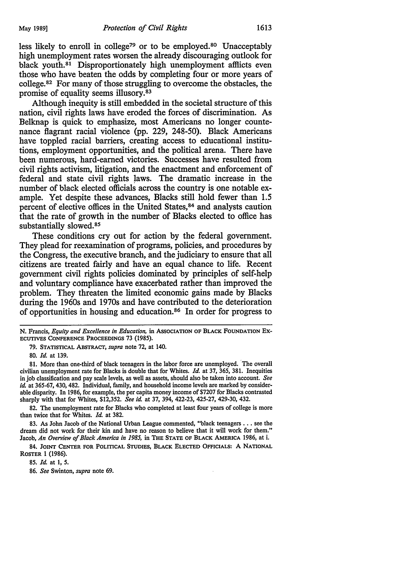less likely to enroll in college<sup>79</sup> or to be employed.<sup>80</sup> Unacceptably high unemployment rates worsen the already discouraging outlook for black youth.<sup>81</sup> Disproportionately high unemployment afflicts even those who have beaten the odds by completing four or more years of college. 82 For many of those struggling to overcome the obstacles, the promise of equality seems illusory. s3

Although inequity is still embedded in the societal structure of this nation, civil rights laws have eroded the forces of discrimination. As Belknap is quick to emphasize, most Americans no longer countenance flagrant racial violence (pp. 229, 248-50). Black Americans have toppled racial barriers, creating access to educational institutions, employment opportunities, and the political arena. There have been numerous, hard-earned victories. Successes have resulted from civil rights activism, litigation, and the enactment and enforcement of federal and state civil rights Jaws. The dramatic increase in the number of black elected officials across the country is one notable example. Yet despite these advances, Blacks still hold fewer than 1.5 percent of elective offices in the United States, 84 and analysts caution that the rate of growth in the number of Blacks elected to office has substantially slowed.<sup>85</sup>

These conditions cry out for action by the federal government. They plead for reexamination of programs, policies, and procedures by the Congress, the executive branch, and the judiciary to ensure that all citizens are treated fairly and have an equal chance to life. Recent government civil rights policies dominated by principles of self-help and voluntary compliance have exacerbated rather than improved the problem. They threaten the limited economic gains made by Blacks during the 1960s and 1970s and have contributed to the deterioration of opportunities in housing and education. 86 In order for progress to

79. STATISTICAL ABSTRACT, *supra* note 72, at 140.

80. *Id.* at 139.

81. More than one-third of black teenagers in the labor force are unemployed. The overall civilian unemployment rate for Blacks is double that for Whites. *Id.* at 37, 365, 381. Inequities in job classification and pay scale levels, as well as assets, should also be taken into account. *See id.* at 365-67, 430, 482. Individual, family, and household income levels are marked by considerable disparity. In 1986, for example, the per capita money income of \$7207 for Blacks contrasted sharply with that for Whites, \$12,352. *See id.* at 37, 394, 422-23, 425-27, 429-30, 432.

82. The unemployment rate for Blacks who completed at least four years of college is more than twice that for Whites. *Id.* at 382.

83. As John Jacob of the National Urban League commented, "black teenagers ... see the dream did not work for their kin and have no reason to believe that it will work for them." Jacob, *An Overview of Black America in 1985,* in THE STATE OF BLACK AMERICA 1986, at i.

84. JOINT CENTER FOR POLITICAL STUDIES, BLACK ELECTED OFFICIALS: A NATIONAL ROSTER 1 (1986).

85. *Id.* at 1, 5.

86. *See* Swinton, *supra* note 69.

N. Francis, *Equity and Excellence in Education,* in AssOCIATION OF BLACK FOUNDATION EX-ECUTIVES CONFERENCE PROCEEDINGS 73 (1985).